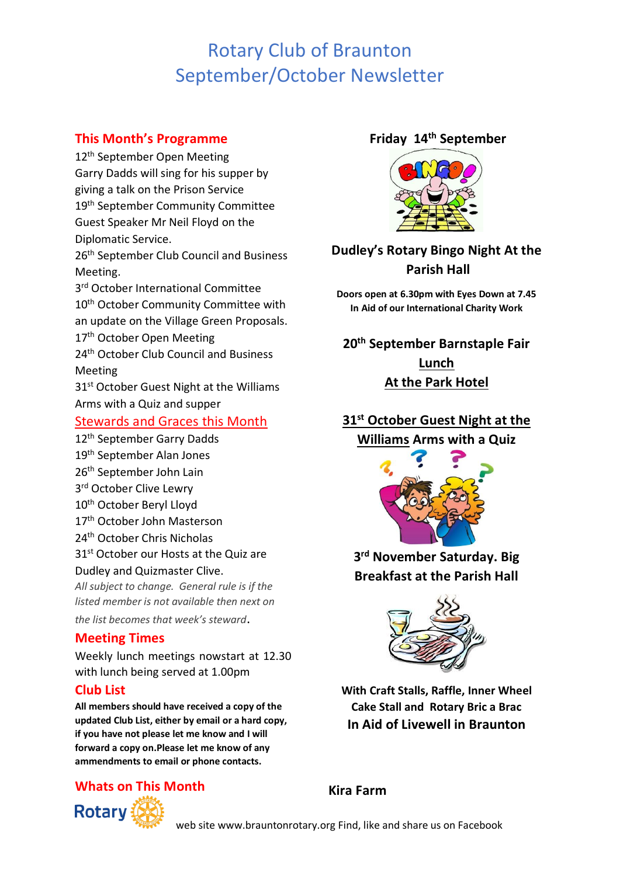# Rotary Club of Braunton September/October Newsletter

### **This Month's Programme**

12<sup>th</sup> September Open Meeting Garry Dadds will sing for his supper by giving a talk on the Prison Service 19th September Community Committee Guest Speaker Mr Neil Floyd on the Diplomatic Service.

26<sup>th</sup> September Club Council and Business Meeting.

3<sup>rd</sup> October International Committee 10<sup>th</sup> October Community Committee with an update on the Village Green Proposals. 17<sup>th</sup> October Open Meeting

24<sup>th</sup> October Club Council and Business Meeting

31<sup>st</sup> October Guest Night at the Williams Arms with a Quiz and supper

#### Stewards and Graces this Month

- 12<sup>th</sup> September Garry Dadds
- 19th September Alan Jones
- 26th September John Lain
- 3<sup>rd</sup> October Clive Lewry
- 10<sup>th</sup> October Beryl Lloyd
- 17th October John Masterson
- 24th October Chris Nicholas
- 31<sup>st</sup> October our Hosts at the Quiz are

Dudley and Quizmaster Clive.

*All subject to change. General rule is if the listed member is not available then next on the list becomes that week's steward*.

### **Meeting Times**

Weekly lunch meetings nowstart at 12.30 with lunch being served at 1.00pm

#### **Club List**

**All members should have received a copy of the updated Club List, either by email or a hard copy, if you have not please let me know and I will forward a copy on.Please let me know of any ammendments to email or phone contacts.**

## **Whats on This Month**



#### **Friday 14th September**



## **Dudley's Rotary Bingo Night At the Parish Hall**

**Doors open at 6.30pm with Eyes Down at 7.45 In Aid of our International Charity Work**

**20th September Barnstaple Fair Lunch At the Park Hotel** 

## **31st October Guest Night at the Williams Arms with a Quiz**



**3 rd November Saturday. Big Breakfast at the Parish Hall**



**With Craft Stalls, Raffle, Inner Wheel Cake Stall and Rotary Bric a Brac In Aid of Livewell in Braunton**

**Kira Farm**